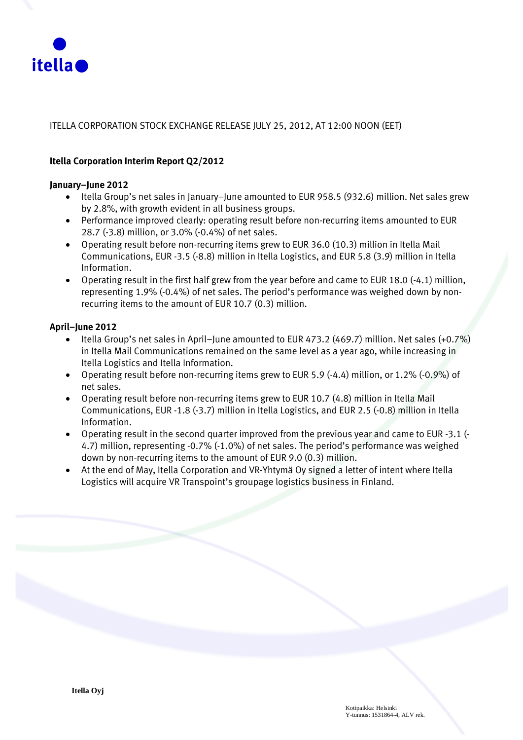

#### ITELLA CORPORATION STOCK EXCHANGE RELEASE JULY 25, 2012, AT 12:00 NOON (EET)

#### **Itella Corporation Interim Report Q2/2012**

#### **January–June 2012**

- Itella Group's net sales in January–June amounted to EUR 958.5 (932.6) million. Net sales grew by 2.8%, with growth evident in all business groups.
- Performance improved clearly: operating result before non-recurring items amounted to EUR 28.7 (-3.8) million, or 3.0% (-0.4%) of net sales.
- Operating result before non-recurring items grew to EUR 36.0 (10.3) million in Itella Mail Communications, EUR -3.5 (-8.8) million in Itella Logistics, and EUR 5.8 (3.9) million in Itella Information.
- Operating result in the first half grew from the year before and came to EUR 18.0 (-4.1) million, representing 1.9% (-0.4%) of net sales. The period's performance was weighed down by nonrecurring items to the amount of EUR 10.7 (0.3) million.

#### **April–June 2012**

- Itella Group's net sales in April–June amounted to EUR 473.2 (469.7) million. Net sales (+0.7%) in Itella Mail Communications remained on the same level as a year ago, while increasing in Itella Logistics and Itella Information.
- Operating result before non-recurring items grew to EUR 5.9 (-4.4) million, or 1.2% (-0.9%) of net sales.
- Operating result before non-recurring items grew to EUR 10.7 (4.8) million in Itella Mail Communications, EUR -1.8 (-3.7) million in Itella Logistics, and EUR 2.5 (-0.8) million in Itella Information.
- Operating result in the second quarter improved from the previous year and came to EUR -3.1 (- 4.7) million, representing -0.7% (-1.0%) of net sales. The period's performance was weighed down by non-recurring items to the amount of EUR 9.0 (0.3) million.
- At the end of May, Itella Corporation and VR-Yhtymä Oy signed a letter of intent where Itella Logistics will acquire VR Transpoint's groupage logistics business in Finland.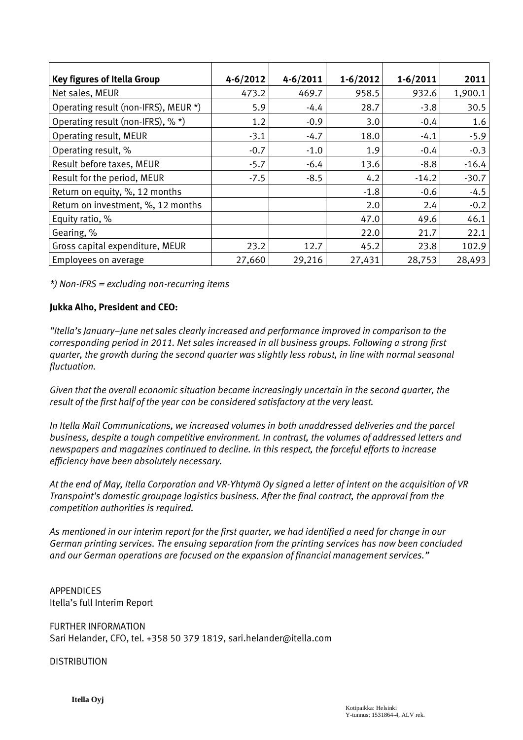| <b>Key figures of Itella Group</b>   | $4 - 6/2012$ | $4 - 6/2011$ | $1 - 6/2012$ | $1 - 6/2011$ | 2011    |
|--------------------------------------|--------------|--------------|--------------|--------------|---------|
| Net sales, MEUR                      | 473.2        | 469.7        | 958.5        | 932.6        | 1,900.1 |
| Operating result (non-IFRS), MEUR *) | 5.9          | $-4.4$       | 28.7         | $-3.8$       | 30.5    |
| Operating result (non-IFRS), % *)    | 1.2          | $-0.9$       | 3.0          | $-0.4$       | 1.6     |
| Operating result, MEUR               | $-3.1$       | $-4.7$       | 18.0         | $-4.1$       | $-5.9$  |
| Operating result, %                  | $-0.7$       | $-1.0$       | 1.9          | $-0.4$       | $-0.3$  |
| Result before taxes, MEUR            | $-5.7$       | $-6.4$       | 13.6         | $-8.8$       | $-16.4$ |
| Result for the period, MEUR          | $-7.5$       | $-8.5$       | 4.2          | $-14.2$      | $-30.7$ |
| Return on equity, %, 12 months       |              |              | $-1.8$       | $-0.6$       | $-4.5$  |
| Return on investment, %, 12 months   |              |              | 2.0          | 2.4          | $-0.2$  |
| Equity ratio, %                      |              |              | 47.0         | 49.6         | 46.1    |
| Gearing, %                           |              |              | 22.0         | 21.7         | 22.1    |
| Gross capital expenditure, MEUR      | 23.2         | 12.7         | 45.2         | 23.8         | 102.9   |
| Employees on average                 | 27,660       | 29,216       | 27,431       | 28,753       | 28,493  |

*\*) Non-IFRS = excluding non-recurring items*

#### **Jukka Alho, President and CEO:**

*"Itella's January–June net sales clearly increased and performance improved in comparison to the corresponding period in 2011. Net sales increased in all business groups. Following a strong first quarter, the growth during the second quarter was slightly less robust, in line with normal seasonal fluctuation.*

*Given that the overall economic situation became increasingly uncertain in the second quarter, the result of the first half of the year can be considered satisfactory at the very least.*

*In Itella Mail Communications, we increased volumes in both unaddressed deliveries and the parcel business, despite a tough competitive environment. In contrast, the volumes of addressed letters and newspapers and magazines continued to decline. In this respect, the forceful efforts to increase efficiency have been absolutely necessary.*

*At the end of May, Itella Corporation and VR-Yhtymä Oy signed a letter of intent on the acquisition of VR Transpoint's domestic groupage logistics business. After the final contract, the approval from the competition authorities is required.*

*As mentioned in our interim report for the first quarter, we had identified a need for change in our German printing services. The ensuing separation from the printing services has now been concluded and our German operations are focused on the expansion of financial management services."*

APPENDICES Itella's full Interim Report

FURTHER INFORMATION Sari Helander, CFO, tel. +358 50 379 1819, sari.helander@itella.com

**DISTRIBUTION**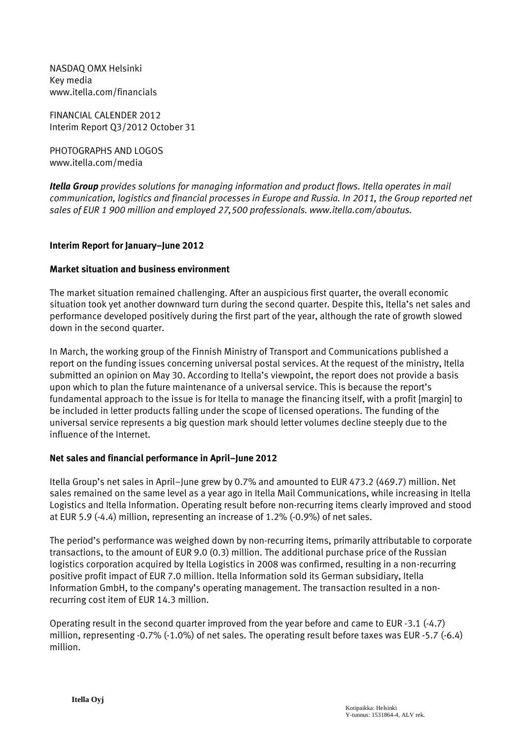NASDAQ OMX Helsinki Key media www.itella.com/financials

FINANCIAL CALENDER 2012 Interim Report Q3/2012 October 31

PHOTOGRAPHS AND LOGOS www.itella.com/media

*Itella Group provides solutions for managing information and product flows. Itella operates in mail communication, logistics and financial processes in Europe and Russia. In 2011, the Group reported net sales of EUR 1 900 million and employed 27,500 professionals. www.itella.com/aboutus.*

### **Interim Report for January–June 2012**

### **Market situation and business environment**

The market situation remained challenging. After an auspicious first quarter, the overall economic situation took yet another downward turn during the second quarter. Despite this, Itella's net sales and performance developed positively during the first part of the year, although the rate of growth slowed down in the second quarter.

In March, the working group of the Finnish Ministry of Transport and Communications published a report on the funding issues concerning universal postal services. At the request of the ministry, Itella submitted an opinion on May 30. According to Itella's viewpoint, the report does not provide a basis upon which to plan the future maintenance of a universal service. This is because the report's fundamental approach to the issue is for Itella to manage the financing itself, with a profit [margin] to be included in letter products falling under the scope of licensed operations. The funding of the universal service represents a big question mark should letter volumes decline steeply due to the influence of the Internet.

#### **Net sales and financial performance in April–June 2012**

Itella Group's net sales in April–June grew by 0.7% and amounted to EUR 473.2 (469.7) million. Net sales remained on the same level as a year ago in Itella Mail Communications, while increasing in Itella Logistics and Itella Information. Operating result before non-recurring items clearly improved and stood at EUR 5.9 (-4.4) million, representing an increase of 1.2% (-0.9%) of net sales.

The period's performance was weighed down by non-recurring items, primarily attributable to corporate transactions, to the amount of EUR 9.0 (0.3) million. The additional purchase price of the Russian logistics corporation acquired by Itella Logistics in 2008 was confirmed, resulting in a non-recurring positive profit impact of EUR 7.0 million. Itella Information sold its German subsidiary, Itella Information GmbH, to the company's operating management. The transaction resulted in a nonrecurring cost item of EUR 14.3 million.

Operating result in the second quarter improved from the year before and came to EUR -3.1 (-4.7) million, representing -0.7% (-1.0%) of net sales. The operating result before taxes was EUR -5.7 (-6.4) million.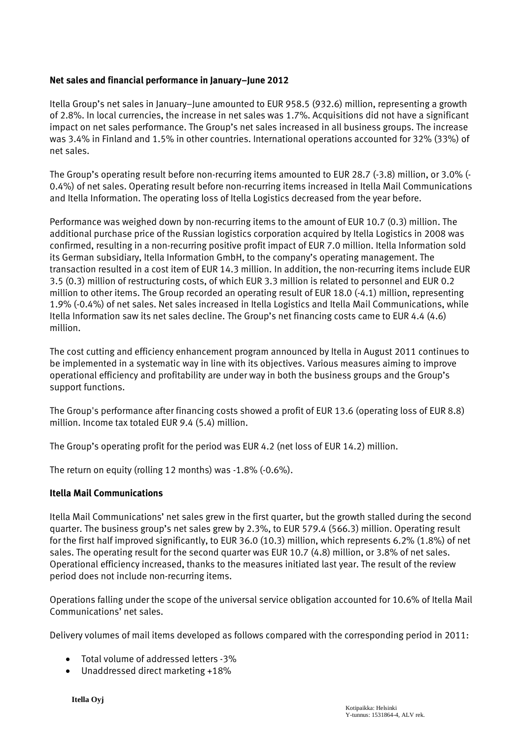### **Net sales and financial performance in January–June 2012**

Itella Group's net sales in January–June amounted to EUR 958.5 (932.6) million, representing a growth of 2.8%. In local currencies, the increase in net sales was 1.7%. Acquisitions did not have a significant impact on net sales performance. The Group's net sales increased in all business groups. The increase was 3.4% in Finland and 1.5% in other countries. International operations accounted for 32% (33%) of net sales.

The Group's operating result before non-recurring items amounted to EUR 28.7 (-3.8) million, or 3.0% (- 0.4%) of net sales. Operating result before non-recurring items increased in Itella Mail Communications and Itella Information. The operating loss of Itella Logistics decreased from the year before.

Performance was weighed down by non-recurring items to the amount of EUR 10.7 (0.3) million. The additional purchase price of the Russian logistics corporation acquired by Itella Logistics in 2008 was confirmed, resulting in a non-recurring positive profit impact of EUR 7.0 million. Itella Information sold its German subsidiary, Itella Information GmbH, to the company's operating management. The transaction resulted in a cost item of EUR 14.3 million. In addition, the non-recurring items include EUR 3.5 (0.3) million of restructuring costs, of which EUR 3.3 million is related to personnel and EUR 0.2 million to other items. The Group recorded an operating result of EUR 18.0 (-4.1) million, representing 1.9% (-0.4%) of net sales. Net sales increased in Itella Logistics and Itella Mail Communications, while Itella Information saw its net sales decline. The Group's net financing costs came to EUR 4.4 (4.6) million.

The cost cutting and efficiency enhancement program announced by Itella in August 2011 continues to be implemented in a systematic way in line with its objectives. Various measures aiming to improve operational efficiency and profitability are under way in both the business groups and the Group's support functions.

The Group's performance after financing costs showed a profit of EUR 13.6 (operating loss of EUR 8.8) million. Income tax totaled EUR 9.4 (5.4) million.

The Group's operating profit for the period was EUR 4.2 (net loss of EUR 14.2) million.

The return on equity (rolling 12 months) was -1.8% (-0.6%).

#### **Itella Mail Communications**

Itella Mail Communications' net sales grew in the first quarter, but the growth stalled during the second quarter. The business group's net sales grew by 2.3%, to EUR 579.4 (566.3) million. Operating result for the first half improved significantly, to EUR 36.0 (10.3) million, which represents 6.2% (1.8%) of net sales. The operating result for the second quarter was EUR 10.7 (4.8) million, or 3.8% of net sales. Operational efficiency increased, thanks to the measures initiated last year. The result of the review period does not include non-recurring items.

Operations falling under the scope of the universal service obligation accounted for 10.6% of Itella Mail Communications' net sales.

Delivery volumes of mail items developed as follows compared with the corresponding period in 2011:

- Total volume of addressed letters -3%
- Unaddressed direct marketing +18%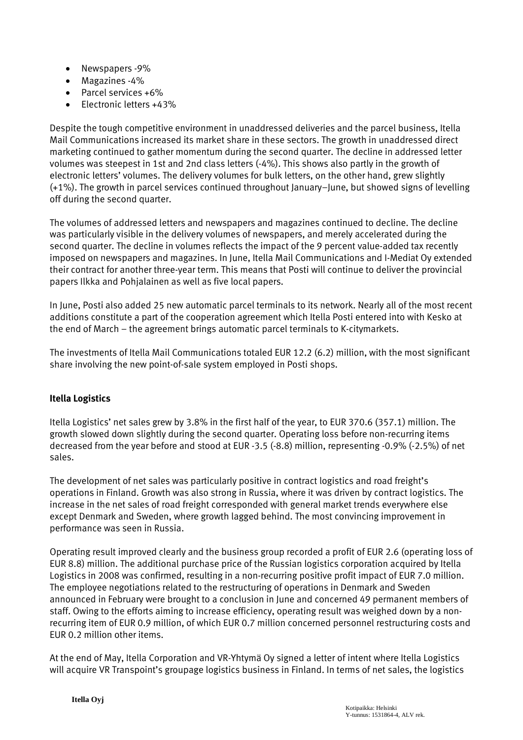- Newspapers -9%
- Magazines -4%
- Parcel services +6%
- Flectronic letters +43%

Despite the tough competitive environment in unaddressed deliveries and the parcel business, Itella Mail Communications increased its market share in these sectors. The growth in unaddressed direct marketing continued to gather momentum during the second quarter. The decline in addressed letter volumes was steepest in 1st and 2nd class letters (-4%). This shows also partly in the growth of electronic letters' volumes. The delivery volumes for bulk letters, on the other hand, grew slightly (+1%). The growth in parcel services continued throughout January–June, but showed signs of levelling off during the second quarter.

The volumes of addressed letters and newspapers and magazines continued to decline. The decline was particularly visible in the delivery volumes of newspapers, and merely accelerated during the second quarter. The decline in volumes reflects the impact of the 9 percent value-added tax recently imposed on newspapers and magazines. In June, Itella Mail Communications and I-Mediat Oy extended their contract for another three-year term. This means that Posti will continue to deliver the provincial papers Ilkka and Pohjalainen as well as five local papers.

In June, Posti also added 25 new automatic parcel terminals to its network. Nearly all of the most recent additions constitute a part of the cooperation agreement which Itella Posti entered into with Kesko at the end of March – the agreement brings automatic parcel terminals to K-citymarkets.

The investments of Itella Mail Communications totaled EUR 12.2 (6.2) million, with the most significant share involving the new point-of-sale system employed in Posti shops.

## **Itella Logistics**

Itella Logistics' net sales grew by 3.8% in the first half of the year, to EUR 370.6 (357.1) million. The growth slowed down slightly during the second quarter. Operating loss before non-recurring items decreased from the year before and stood at EUR -3.5 (-8.8) million, representing -0.9% (-2.5%) of net sales.

The development of net sales was particularly positive in contract logistics and road freight's operations in Finland. Growth was also strong in Russia, where it was driven by contract logistics. The increase in the net sales of road freight corresponded with general market trends everywhere else except Denmark and Sweden, where growth lagged behind. The most convincing improvement in performance was seen in Russia.

Operating result improved clearly and the business group recorded a profit of EUR 2.6 (operating loss of EUR 8.8) million. The additional purchase price of the Russian logistics corporation acquired by Itella Logistics in 2008 was confirmed, resulting in a non-recurring positive profit impact of EUR 7.0 million. The employee negotiations related to the restructuring of operations in Denmark and Sweden announced in February were brought to a conclusion in June and concerned 49 permanent members of staff. Owing to the efforts aiming to increase efficiency, operating result was weighed down by a nonrecurring item of EUR 0.9 million, of which EUR 0.7 million concerned personnel restructuring costs and EUR 0.2 million other items.

At the end of May, Itella Corporation and VR-Yhtymä Oy signed a letter of intent where Itella Logistics will acquire VR Transpoint's groupage logistics business in Finland. In terms of net sales, the logistics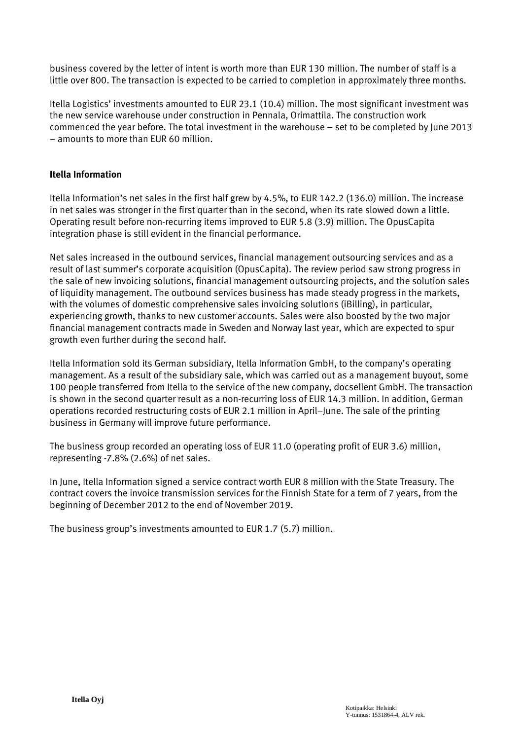business covered by the letter of intent is worth more than EUR 130 million. The number of staff is a little over 800. The transaction is expected to be carried to completion in approximately three months.

Itella Logistics' investments amounted to EUR 23.1 (10.4) million. The most significant investment was the new service warehouse under construction in Pennala, Orimattila. The construction work commenced the year before. The total investment in the warehouse – set to be completed by June 2013 – amounts to more than EUR 60 million.

#### **Itella Information**

Itella Information's net sales in the first half grew by 4.5%, to EUR 142.2 (136.0) million. The increase in net sales was stronger in the first quarter than in the second, when its rate slowed down a little. Operating result before non-recurring items improved to EUR 5.8 (3.9) million. The OpusCapita integration phase is still evident in the financial performance.

Net sales increased in the outbound services, financial management outsourcing services and as a result of last summer's corporate acquisition (OpusCapita). The review period saw strong progress in the sale of new invoicing solutions, financial management outsourcing projects, and the solution sales of liquidity management. The outbound services business has made steady progress in the markets, with the volumes of domestic comprehensive sales invoicing solutions (iBilling), in particular, experiencing growth, thanks to new customer accounts. Sales were also boosted by the two major financial management contracts made in Sweden and Norway last year, which are expected to spur growth even further during the second half.

Itella Information sold its German subsidiary, Itella Information GmbH, to the company's operating management. As a result of the subsidiary sale, which was carried out as a management buyout, some 100 people transferred from Itella to the service of the new company, docsellent GmbH. The transaction is shown in the second quarter result as a non-recurring loss of EUR 14.3 million. In addition, German operations recorded restructuring costs of EUR 2.1 million in April–June. The sale of the printing business in Germany will improve future performance.

The business group recorded an operating loss of EUR 11.0 (operating profit of EUR 3.6) million, representing -7.8% (2.6%) of net sales.

In June, Itella Information signed a service contract worth EUR 8 million with the State Treasury. The contract covers the invoice transmission services for the Finnish State for a term of 7 years, from the beginning of December 2012 to the end of November 2019.

The business group's investments amounted to EUR 1.7 (5.7) million.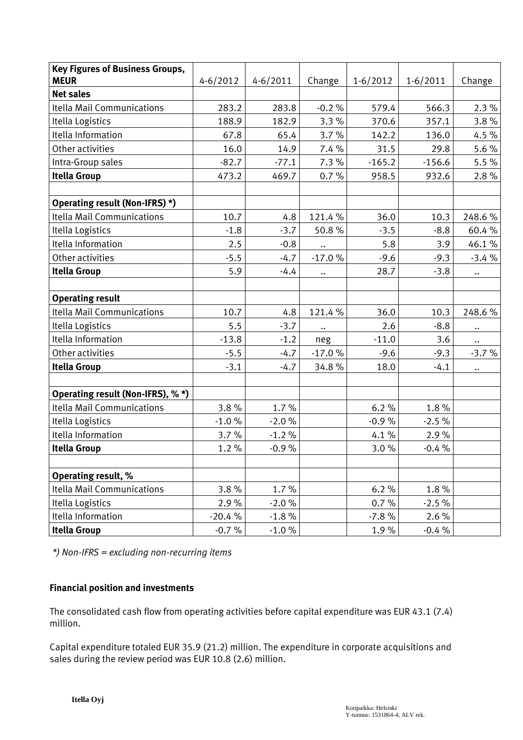| <b>Key Figures of Business Groups,</b> |              |              |                           |            |              |           |
|----------------------------------------|--------------|--------------|---------------------------|------------|--------------|-----------|
| <b>MEUR</b>                            | $4 - 6/2012$ | $4 - 6/2011$ | Change                    | $1-6/2012$ | $1 - 6/2011$ | Change    |
| <b>Net sales</b>                       |              |              |                           |            |              |           |
| <b>Itella Mail Communications</b>      | 283.2        | 283.8        | $-0.2%$                   | 579.4      | 566.3        | 2.3%      |
| Itella Logistics                       | 188.9        | 182.9        | 3.3%                      | 370.6      | 357.1        | 3.8%      |
| Itella Information                     | 67.8         | 65.4         | 3.7%                      | 142.2      | 136.0        | 4.5 %     |
| Other activities                       | 16.0         | 14.9         | 7.4 %                     | 31.5       | 29.8         | 5.6%      |
| Intra-Group sales                      | $-82.7$      | $-77.1$      | 7.3%                      | $-165.2$   | $-156.6$     | 5.5%      |
| <b>Itella Group</b>                    | 473.2        | 469.7        | 0.7%                      | 958.5      | 932.6        | 2.8%      |
|                                        |              |              |                           |            |              |           |
| Operating result (Non-IFRS) *)         |              |              |                           |            |              |           |
| <b>Itella Mail Communications</b>      | 10.7         | 4.8          | 121.4%                    | 36.0       | 10.3         | 248.6%    |
| Itella Logistics                       | $-1.8$       | $-3.7$       | 50.8%                     | $-3.5$     | $-8.8$       | 60.4%     |
| Itella Information                     | 2.5          | $-0.8$       | $\ddot{\phantom{0}}\cdot$ | 5.8        | 3.9          | 46.1%     |
| Other activities                       | $-5.5$       | $-4.7$       | $-17.0%$                  | $-9.6$     | $-9.3$       | $-3.4%$   |
| <b>Itella Group</b>                    | 5.9          | $-4.4$       | $\ddotsc$                 | 28.7       | $-3.8$       | $\ddotsc$ |
|                                        |              |              |                           |            |              |           |
| <b>Operating result</b>                |              |              |                           |            |              |           |
| <b>Itella Mail Communications</b>      | 10.7         | 4.8          | 121.4%                    | 36.0       | 10.3         | 248.6%    |
| Itella Logistics                       | 5.5          | $-3.7$       | $\ddotsc$                 | 2.6        | $-8.8$       | $\ddotsc$ |
| Itella Information                     | $-13.8$      | $-1.2$       | neg                       | $-11.0$    | 3.6          | $\ddotsc$ |
| Other activities                       | $-5.5$       | $-4.7$       | $-17.0%$                  | $-9.6$     | $-9.3$       | $-3.7%$   |
| <b>Itella Group</b>                    | $-3.1$       | $-4.7$       | 34.8%                     | 18.0       | $-4.1$       | $\ddotsc$ |
|                                        |              |              |                           |            |              |           |
| Operating result (Non-IFRS), %*)       |              |              |                           |            |              |           |
| <b>Itella Mail Communications</b>      | 3.8%         | 1.7%         |                           | 6.2%       | 1.8%         |           |
| Itella Logistics                       | $-1.0%$      | $-2.0%$      |                           | $-0.9%$    | $-2.5%$      |           |
| Itella Information                     | 3.7%         | $-1.2%$      |                           | 4.1%       | 2.9%         |           |
| <b>Itella Group</b>                    | 1.2%         | $-0.9%$      |                           | 3.0%       | $-0.4%$      |           |
|                                        |              |              |                           |            |              |           |
| <b>Operating result, %</b>             |              |              |                           |            |              |           |
| <b>Itella Mail Communications</b>      | 3.8%         | 1.7%         |                           | 6.2%       | 1.8%         |           |
| Itella Logistics                       | 2.9%         | $-2.0%$      |                           | 0.7%       | $-2.5%$      |           |
| Itella Information                     | $-20.4%$     | $-1.8%$      |                           | $-7.8%$    | 2.6%         |           |
| <b>Itella Group</b>                    | $-0.7%$      | $-1.0 \%$    |                           | 1.9%       | $-0.4%$      |           |

*\*) Non-IFRS = excluding non-recurring items* 

#### **Financial position and investments**

The consolidated cash flow from operating activities before capital expenditure was EUR 43.1 (7.4) million.

Capital expenditure totaled EUR 35.9 (21.2) million. The expenditure in corporate acquisitions and sales during the review period was EUR 10.8 (2.6) million.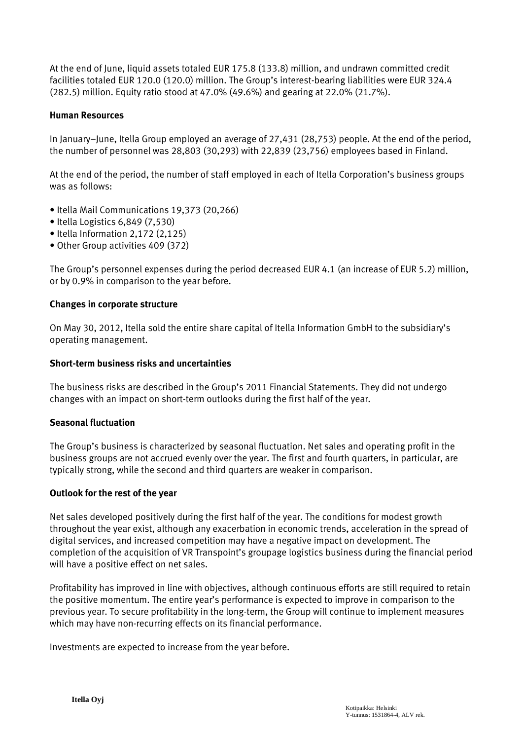At the end of June, liquid assets totaled EUR 175.8 (133.8) million, and undrawn committed credit facilities totaled EUR 120.0 (120.0) million. The Group's interest-bearing liabilities were EUR 324.4 (282.5) million. Equity ratio stood at 47.0% (49.6%) and gearing at 22.0% (21.7%).

#### **Human Resources**

In January–June, Itella Group employed an average of 27,431 (28,753) people. At the end of the period, the number of personnel was 28,803 (30,293) with 22,839 (23,756) employees based in Finland.

At the end of the period, the number of staff employed in each of Itella Corporation's business groups was as follows:

- Itella Mail Communications 19,373 (20,266)
- Itella Logistics 6,849 (7,530)
- Itella Information 2,172 (2,125)
- Other Group activities 409 (372)

The Group's personnel expenses during the period decreased EUR 4.1 (an increase of EUR 5.2) million, or by 0.9% in comparison to the year before.

#### **Changes in corporate structure**

On May 30, 2012, Itella sold the entire share capital of Itella Information GmbH to the subsidiary's operating management.

#### **Short-term business risks and uncertainties**

The business risks are described in the Group's 2011 Financial Statements. They did not undergo changes with an impact on short-term outlooks during the first half of the year.

#### **Seasonal fluctuation**

The Group's business is characterized by seasonal fluctuation. Net sales and operating profit in the business groups are not accrued evenly over the year. The first and fourth quarters, in particular, are typically strong, while the second and third quarters are weaker in comparison.

#### **Outlook for the rest of the year**

Net sales developed positively during the first half of the year. The conditions for modest growth throughout the year exist, although any exacerbation in economic trends, acceleration in the spread of digital services, and increased competition may have a negative impact on development. The completion of the acquisition of VR Transpoint's groupage logistics business during the financial period will have a positive effect on net sales.

Profitability has improved in line with objectives, although continuous efforts are still required to retain the positive momentum. The entire year's performance is expected to improve in comparison to the previous year. To secure profitability in the long-term, the Group will continue to implement measures which may have non-recurring effects on its financial performance.

Investments are expected to increase from the year before.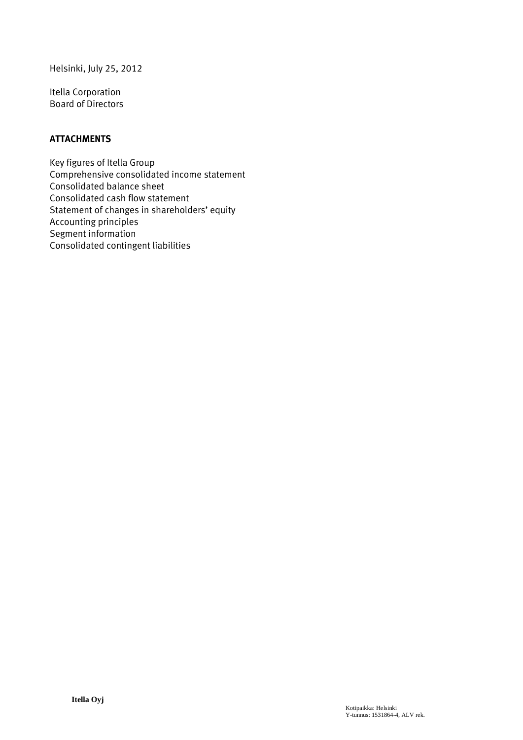Helsinki, July 25, 2012

Itella Corporation Board of Directors

#### **ATTACHMENTS**

Key figures of Itella Group Comprehensive consolidated income statement Consolidated balance sheet Consolidated cash flow statement Statement of changes in shareholders' equity Accounting principles Segment information Consolidated contingent liabilities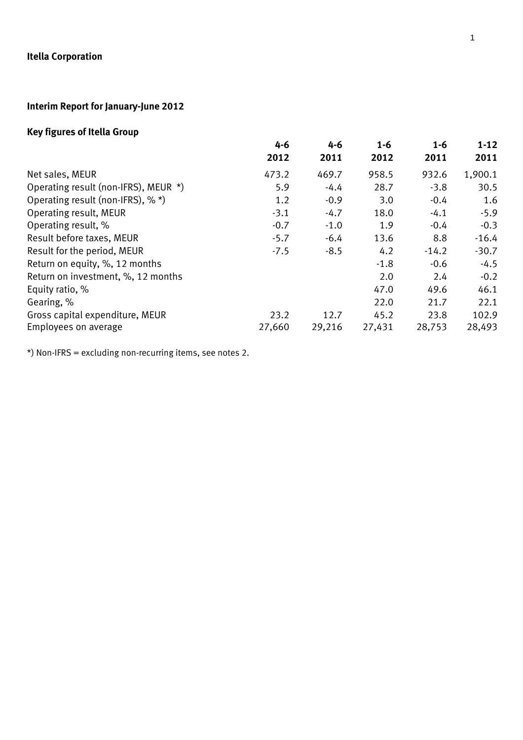# **Interim Report for January-June 2012**

# **Key figures of Itella Group**

|                                      | 4-6    | 4-6    | $1 - 6$ | $1 - 6$ | $1 - 12$ |
|--------------------------------------|--------|--------|---------|---------|----------|
|                                      | 2012   | 2011   | 2012    | 2011    | 2011     |
| Net sales, MEUR                      | 473.2  | 469.7  | 958.5   | 932.6   | 1,900.1  |
| Operating result (non-IFRS), MEUR *) | 5.9    | $-4.4$ | 28.7    | $-3.8$  | 30.5     |
| Operating result (non-IFRS), % *)    | 1.2    | $-0.9$ | 3.0     | $-0.4$  | 1.6      |
| Operating result, MEUR               | $-3.1$ | $-4.7$ | 18.0    | $-4.1$  | $-5.9$   |
| Operating result, %                  | $-0.7$ | $-1.0$ | 1.9     | $-0.4$  | $-0.3$   |
| Result before taxes, MEUR            | $-5.7$ | $-6.4$ | 13.6    | 8.8     | $-16.4$  |
| Result for the period, MEUR          | $-7.5$ | $-8.5$ | 4.2     | $-14.2$ | $-30.7$  |
| Return on equity, %, 12 months       |        |        | $-1.8$  | $-0.6$  | $-4.5$   |
| Return on investment, %, 12 months   |        |        | 2.0     | 2.4     | $-0.2$   |
| Equity ratio, %                      |        |        | 47.0    | 49.6    | 46.1     |
| Gearing, %                           |        |        | 22.0    | 21.7    | 22.1     |
| Gross capital expenditure, MEUR      | 23.2   | 12.7   | 45.2    | 23.8    | 102.9    |
| Employees on average                 | 27,660 | 29,216 | 27,431  | 28,753  | 28,493   |
|                                      |        |        |         |         |          |

\*) Non-IFRS = excluding non-recurring items, see notes 2.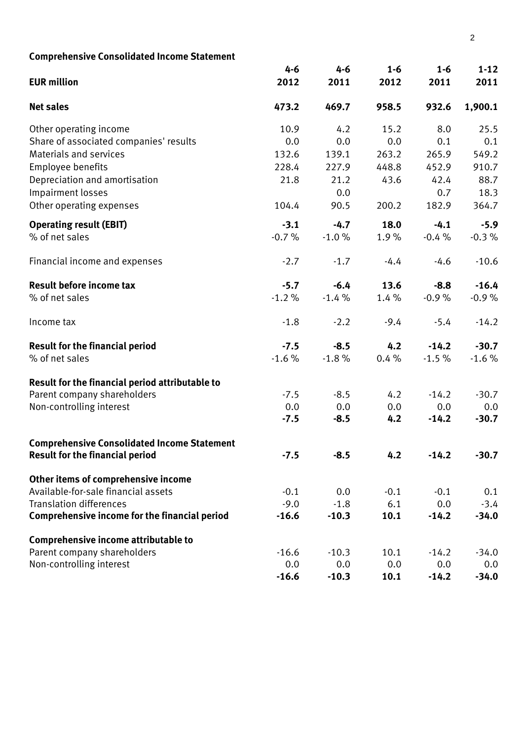| <b>Comprehensive Consolidated Income Statement</b> |         |         |         |         |          |
|----------------------------------------------------|---------|---------|---------|---------|----------|
|                                                    | $4 - 6$ | $4 - 6$ | $1 - 6$ | $1 - 6$ | $1 - 12$ |
| <b>EUR million</b>                                 | 2012    | 2011    | 2012    | 2011    | 2011     |
| <b>Net sales</b>                                   | 473.2   | 469.7   | 958.5   | 932.6   | 1,900.1  |
| Other operating income                             | 10.9    | 4.2     | 15.2    | 8.0     | 25.5     |
| Share of associated companies' results             | 0.0     | 0.0     | 0.0     | 0.1     | 0.1      |
| <b>Materials and services</b>                      | 132.6   | 139.1   | 263.2   | 265.9   | 549.2    |
| Employee benefits                                  | 228.4   | 227.9   | 448.8   | 452.9   | 910.7    |
| Depreciation and amortisation                      | 21.8    | 21.2    | 43.6    | 42.4    | 88.7     |
| Impairment losses                                  |         | 0.0     |         | 0.7     | 18.3     |
| Other operating expenses                           | 104.4   | 90.5    | 200.2   | 182.9   | 364.7    |
| <b>Operating result (EBIT)</b>                     | $-3.1$  | $-4.7$  | 18.0    | $-4.1$  | $-5.9$   |
| % of net sales                                     | $-0.7%$ | $-1.0%$ | 1.9%    | $-0.4%$ | $-0.3%$  |
| Financial income and expenses                      | $-2.7$  | $-1.7$  | $-4.4$  | $-4.6$  | $-10.6$  |
| <b>Result before income tax</b>                    | $-5.7$  | $-6.4$  | 13.6    | $-8.8$  | $-16.4$  |
| % of net sales                                     | $-1.2%$ | $-1.4%$ | 1.4%    | $-0.9%$ | $-0.9%$  |
| Income tax                                         | $-1.8$  | $-2.2$  | $-9.4$  | $-5.4$  | $-14.2$  |
| <b>Result for the financial period</b>             | $-7.5$  | $-8.5$  | 4.2     | $-14.2$ | $-30.7$  |
| % of net sales                                     | $-1.6%$ | $-1.8%$ | 0.4%    | $-1.5%$ | $-1.6%$  |
| Result for the financial period attributable to    |         |         |         |         |          |
| Parent company shareholders                        | $-7.5$  | $-8.5$  | 4.2     | $-14.2$ | $-30.7$  |
| Non-controlling interest                           | 0.0     | 0.0     | 0.0     | 0.0     | 0.0      |
|                                                    | $-7.5$  | $-8.5$  | 4.2     | $-14.2$ | $-30.7$  |
| <b>Comprehensive Consolidated Income Statement</b> |         |         |         |         |          |
| <b>Result for the financial period</b>             | $-7.5$  | $-8.5$  | 4.2     | $-14.2$ | $-30.7$  |
| Other items of comprehensive income                |         |         |         |         |          |
| Available-for-sale financial assets                | $-0.1$  | 0.0     | $-0.1$  | $-0.1$  | 0.1      |
| <b>Translation differences</b>                     | $-9.0$  | $-1.8$  | 6.1     | 0.0     | $-3.4$   |
| Comprehensive income for the financial period      | $-16.6$ | $-10.3$ | 10.1    | $-14.2$ | $-34.0$  |
| Comprehensive income attributable to               |         |         |         |         |          |
| Parent company shareholders                        | $-16.6$ | $-10.3$ | 10.1    | $-14.2$ | $-34.0$  |
| Non-controlling interest                           | 0.0     | 0.0     | 0.0     | 0.0     | 0.0      |
|                                                    | $-16.6$ | $-10.3$ | 10.1    | $-14.2$ | $-34.0$  |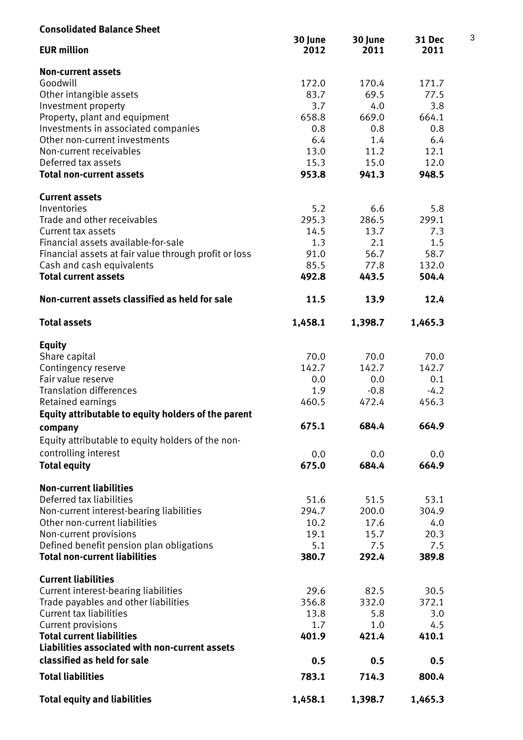| <b>Consolidated Balance Sheet</b>                     |                 |                 |                |
|-------------------------------------------------------|-----------------|-----------------|----------------|
| <b>EUR million</b>                                    | 30 June<br>2012 | 30 June<br>2011 | 31 Dec<br>2011 |
| <b>Non-current assets</b>                             |                 |                 |                |
| Goodwill                                              | 172.0           | 170.4           | 171.7          |
| Other intangible assets                               | 83.7            | 69.5            | 77.5           |
| Investment property                                   | 3.7             | 4.0             | 3.8            |
| Property, plant and equipment                         | 658.8           | 669.0           | 664.1          |
| Investments in associated companies                   | 0.8             | 0.8             | 0.8            |
| Other non-current investments                         | 6.4             | 1.4             | 6.4            |
| Non-current receivables                               | 13.0            | 11.2            | 12.1           |
| Deferred tax assets                                   | 15.3            | 15.0            | 12.0           |
| <b>Total non-current assets</b>                       | 953.8           | 941.3           | 948.5          |
| <b>Current assets</b>                                 |                 |                 |                |
| Inventories                                           | 5.2             | 6.6             | 5.8            |
| Trade and other receivables                           | 295.3           | 286.5           | 299.1          |
| <b>Current tax assets</b>                             | 14.5            | 13.7            | 7.3            |
| Financial assets available-for-sale                   | 1.3             | 2.1             | 1.5            |
| Financial assets at fair value through profit or loss | 91.0            | 56.7            | 58.7           |
| Cash and cash equivalents                             | 85.5            | 77.8            | 132.0          |
|                                                       |                 |                 |                |
| <b>Total current assets</b>                           | 492.8           | 443.5           | 504.4          |
| Non-current assets classified as held for sale        | 11.5            | 13.9            | 12.4           |
| <b>Total assets</b>                                   | 1,458.1         | 1,398.7         | 1,465.3        |
| <b>Equity</b>                                         |                 |                 |                |
| Share capital                                         | 70.0            | 70.0            | 70.0           |
| Contingency reserve                                   | 142.7           | 142.7           | 142.7          |
| Fair value reserve                                    | 0.0             | 0.0             | 0.1            |
| <b>Translation differences</b>                        | 1.9             | $-0.8$          | $-4.2$         |
| Retained earnings                                     | 460.5           | 472.4           | 456.3          |
|                                                       |                 |                 |                |
| Equity attributable to equity holders of the parent   |                 |                 |                |
| company                                               | 675.1           | 684.4           | 664.9          |
| Equity attributable to equity holders of the non-     |                 |                 |                |
| controlling interest                                  | 0.0             | 0.0             | 0.0            |
| <b>Total equity</b>                                   | 675.0           | 684.4           | 664.9          |
|                                                       |                 |                 |                |
| <b>Non-current liabilities</b>                        |                 |                 |                |
| Deferred tax liabilities                              | 51.6            | 51.5            | 53.1           |
| Non-current interest-bearing liabilities              | 294.7           | 200.0           | 304.9          |
| Other non-current liabilities                         | 10.2            | 17.6            | 4.0            |
| Non-current provisions                                | 19.1            | 15.7            | 20.3           |
| Defined benefit pension plan obligations              | 5.1             | 7.5             | 7.5            |
| <b>Total non-current liabilities</b>                  | 380.7           | 292.4           | 389.8          |
| <b>Current liabilities</b>                            |                 |                 |                |
| Current interest-bearing liabilities                  | 29.6            | 82.5            | 30.5           |
| Trade payables and other liabilities                  | 356.8           | 332.0           | 372.1          |
| <b>Current tax liabilities</b>                        | 13.8            | 5.8             | 3.0            |
| <b>Current provisions</b>                             | 1.7             | 1.0             | 4.5            |
| <b>Total current liabilities</b>                      | 401.9           | 421.4           | 410.1          |
| Liabilities associated with non-current assets        |                 |                 |                |
| classified as held for sale                           | 0.5             | 0.5             | 0.5            |
| <b>Total liabilities</b>                              | 783.1           | 714.3           | 800.4          |
| <b>Total equity and liabilities</b>                   | 1,458.1         | 1,398.7         | 1,465.3        |

3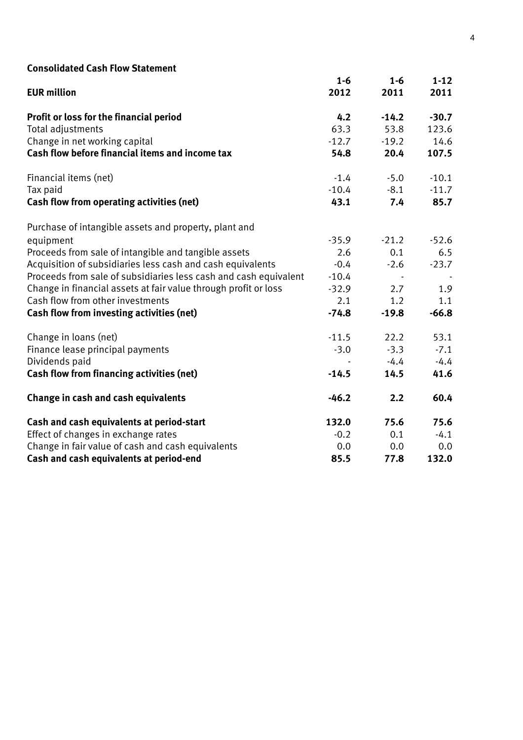# **Consolidated Cash Flow Statement**

| <b>Consolidated Cash Flow Statement</b>                          |         |         |          |
|------------------------------------------------------------------|---------|---------|----------|
|                                                                  | $1 - 6$ | $1 - 6$ | $1 - 12$ |
| <b>EUR million</b>                                               | 2012    | 2011    | 2011     |
| Profit or loss for the financial period                          | 4.2     | $-14.2$ | $-30.7$  |
| Total adjustments                                                | 63.3    | 53.8    | 123.6    |
| Change in net working capital                                    | $-12.7$ | $-19.2$ | 14.6     |
| Cash flow before financial items and income tax                  | 54.8    | 20.4    | 107.5    |
| Financial items (net)                                            | $-1.4$  | $-5.0$  | $-10.1$  |
| Tax paid                                                         | $-10.4$ | $-8.1$  | $-11.7$  |
| <b>Cash flow from operating activities (net)</b>                 | 43.1    | 7.4     | 85.7     |
| Purchase of intangible assets and property, plant and            |         |         |          |
| equipment                                                        | $-35.9$ | $-21.2$ | $-52.6$  |
| Proceeds from sale of intangible and tangible assets             | 2.6     | 0.1     | 6.5      |
| Acquisition of subsidiaries less cash and cash equivalents       | $-0.4$  | $-2.6$  | $-23.7$  |
| Proceeds from sale of subsidiaries less cash and cash equivalent | $-10.4$ |         |          |
| Change in financial assets at fair value through profit or loss  | $-32.9$ | 2.7     | 1.9      |
| Cash flow from other investments                                 | 2.1     | 1.2     | 1.1      |
| <b>Cash flow from investing activities (net)</b>                 | $-74.8$ | $-19.8$ | $-66.8$  |
| Change in loans (net)                                            | $-11.5$ | 22.2    | 53.1     |
| Finance lease principal payments                                 | $-3.0$  | $-3.3$  | $-7.1$   |
| Dividends paid                                                   |         | $-4.4$  | $-4.4$   |
| <b>Cash flow from financing activities (net)</b>                 | $-14.5$ | 14.5    | 41.6     |
| Change in cash and cash equivalents                              | $-46.2$ | 2.2     | 60.4     |
| Cash and cash equivalents at period-start                        | 132.0   | 75.6    | 75.6     |
| Effect of changes in exchange rates                              | $-0.2$  | 0.1     | $-4.1$   |
| Change in fair value of cash and cash equivalents                | 0.0     | 0.0     | 0.0      |
| Cash and cash equivalents at period-end                          | 85.5    | 77.8    | 132.0    |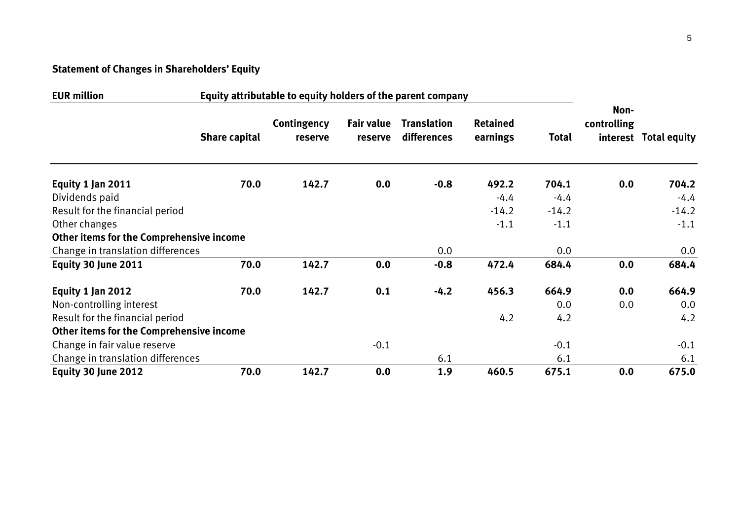# **Statement of Changes in Shareholders' Equity**

| <b>EUR million</b><br>Equity attributable to equity holders of the parent company |                      |                        |                       |                                   |                             |              |                     |                       |
|-----------------------------------------------------------------------------------|----------------------|------------------------|-----------------------|-----------------------------------|-----------------------------|--------------|---------------------|-----------------------|
|                                                                                   | <b>Share capital</b> | Contingency<br>reserve | Fair value<br>reserve | <b>Translation</b><br>differences | <b>Retained</b><br>earnings | <b>Total</b> | Non-<br>controlling | interest Total equity |
| Equity 1 Jan 2011                                                                 | 70.0                 | 142.7                  | 0.0                   | $-0.8$                            | 492.2                       | 704.1        | 0.0                 | 704.2                 |
| Dividends paid                                                                    |                      |                        |                       |                                   | $-4.4$                      | $-4.4$       |                     | $-4.4$                |
| Result for the financial period                                                   |                      |                        |                       |                                   | $-14.2$                     | $-14.2$      |                     | $-14.2$               |
| Other changes                                                                     |                      |                        |                       |                                   | $-1.1$                      | $-1.1$       |                     | $-1.1$                |
| <b>Other items for the Comprehensive income</b>                                   |                      |                        |                       |                                   |                             |              |                     |                       |
| Change in translation differences                                                 |                      |                        |                       | 0.0                               |                             | 0.0          |                     | 0.0                   |
| Equity 30 June 2011                                                               | 70.0                 | 142.7                  | 0.0                   | $-0.8$                            | 472.4                       | 684.4        | 0.0                 | 684.4                 |
| Equity 1 Jan 2012                                                                 | 70.0                 | 142.7                  | 0.1                   | $-4.2$                            | 456.3                       | 664.9        | 0.0                 | 664.9                 |
| Non-controlling interest                                                          |                      |                        |                       |                                   |                             | 0.0          | 0.0                 | 0.0                   |
| Result for the financial period                                                   |                      |                        |                       |                                   | 4.2                         | 4.2          |                     | 4.2                   |
| <b>Other items for the Comprehensive income</b>                                   |                      |                        |                       |                                   |                             |              |                     |                       |
| Change in fair value reserve                                                      |                      |                        | $-0.1$                |                                   |                             | $-0.1$       |                     | $-0.1$                |
| Change in translation differences                                                 |                      |                        |                       | 6.1                               |                             | 6.1          |                     | 6.1                   |
| Equity 30 June 2012                                                               | 70.0                 | 142.7                  | 0.0                   | 1.9                               | 460.5                       | 675.1        | 0.0                 | 675.0                 |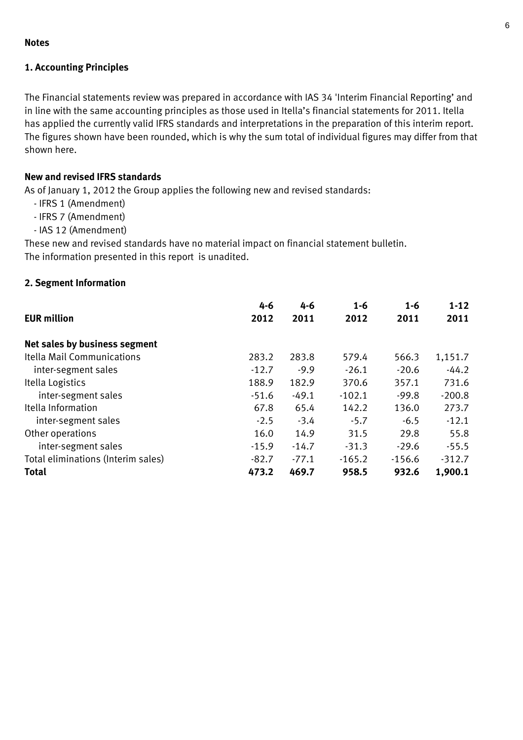### **Notes**

# **1. Accounting Principles**

The Financial statements review was prepared in accordance with IAS 34 'Interim Financial Reporting' and in line with the same accounting principles as those used in Itella's financial statements for 2011. Itella has applied the currently valid IFRS standards and interpretations in the preparation of this interim report. The figures shown have been rounded, which is why the sum total of individual figures may differ from that shown here.

# **New and revised IFRS standards**

As of January 1, 2012 the Group applies the following new and revised standards:

- IFRS 1 (Amendment)
- IFRS 7 (Amendment)
- IAS 12 (Amendment)

These new and revised standards have no material impact on financial statement bulletin. The information presented in this report is unadited.

# **2. Segment Information**

|                                    | $4 - 6$ | 4-6     | $1 - 6$  | $1 - 6$  | $1 - 12$ |
|------------------------------------|---------|---------|----------|----------|----------|
| <b>EUR million</b>                 | 2012    | 2011    | 2012     | 2011     | 2011     |
| Net sales by business segment      |         |         |          |          |          |
| Itella Mail Communications         | 283.2   | 283.8   | 579.4    | 566.3    | 1,151.7  |
| inter-segment sales                | $-12.7$ | $-9.9$  | $-26.1$  | $-20.6$  | $-44.2$  |
| Itella Logistics                   | 188.9   | 182.9   | 370.6    | 357.1    | 731.6    |
| inter-segment sales                | $-51.6$ | $-49.1$ | $-102.1$ | $-99.8$  | $-200.8$ |
| Itella Information                 | 67.8    | 65.4    | 142.2    | 136.0    | 273.7    |
| inter-segment sales                | $-2.5$  | $-3.4$  | $-5.7$   | $-6.5$   | $-12.1$  |
| Other operations                   | 16.0    | 14.9    | 31.5     | 29.8     | 55.8     |
| inter-segment sales                | $-15.9$ | $-14.7$ | $-31.3$  | $-29.6$  | $-55.5$  |
| Total eliminations (Interim sales) | $-82.7$ | $-77.1$ | $-165.2$ | $-156.6$ | $-312.7$ |
| <b>Total</b>                       | 473.2   | 469.7   | 958.5    | 932.6    | 1,900.1  |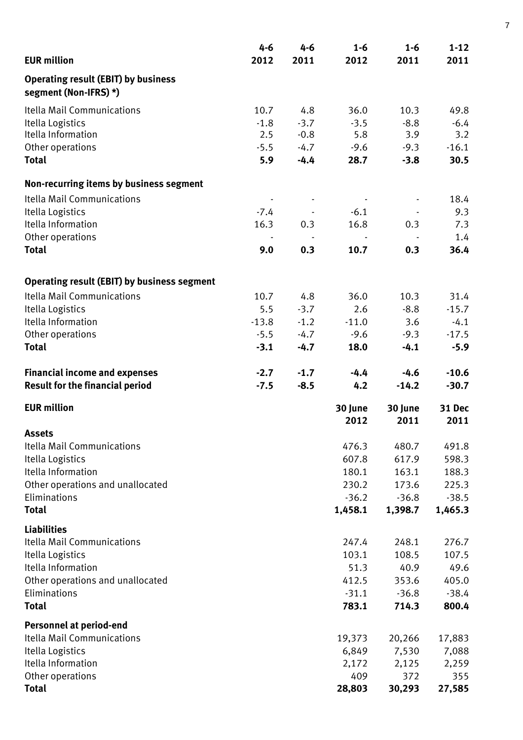|                                                                     | 4-6     | 4-6    | $1 - 6$         | $1 - 6$         | $1 - 12$       |
|---------------------------------------------------------------------|---------|--------|-----------------|-----------------|----------------|
| <b>EUR million</b>                                                  | 2012    | 2011   | 2012            | 2011            | 2011           |
| <b>Operating result (EBIT) by business</b><br>segment (Non-IFRS) *) |         |        |                 |                 |                |
| Itella Mail Communications                                          | 10.7    | 4.8    | 36.0            | 10.3            | 49.8           |
| Itella Logistics                                                    | $-1.8$  | $-3.7$ | $-3.5$          | $-8.8$          | $-6.4$         |
| Itella Information                                                  | 2.5     | $-0.8$ | 5.8             | 3.9             | 3.2            |
| Other operations                                                    | $-5.5$  | $-4.7$ | $-9.6$          | $-9.3$          | $-16.1$        |
| <b>Total</b>                                                        | 5.9     | $-4.4$ | 28.7            | $-3.8$          | 30.5           |
| Non-recurring items by business segment                             |         |        |                 |                 |                |
| <b>Itella Mail Communications</b>                                   |         |        |                 |                 | 18.4           |
| Itella Logistics                                                    | $-7.4$  |        | $-6.1$          |                 | 9.3            |
| Itella Information                                                  | 16.3    | 0.3    | 16.8            | 0.3             | 7.3            |
| Other operations                                                    |         |        |                 |                 | 1.4            |
| <b>Total</b>                                                        | 9.0     | 0.3    | 10.7            | 0.3             | 36.4           |
| <b>Operating result (EBIT) by business segment</b>                  |         |        |                 |                 |                |
| <b>Itella Mail Communications</b>                                   | 10.7    | 4.8    | 36.0            | 10.3            | 31.4           |
| Itella Logistics                                                    | 5.5     | $-3.7$ | 2.6             | $-8.8$          | $-15.7$        |
| Itella Information                                                  | $-13.8$ | $-1.2$ | $-11.0$         | 3.6             | $-4.1$         |
| Other operations                                                    | $-5.5$  | $-4.7$ | $-9.6$          | $-9.3$          | $-17.5$        |
| <b>Total</b>                                                        | $-3.1$  | $-4.7$ | 18.0            | $-4.1$          | $-5.9$         |
| <b>Financial income and expenses</b>                                | $-2.7$  | $-1.7$ | $-4.4$          | $-4.6$          | $-10.6$        |
| <b>Result for the financial period</b>                              | $-7.5$  | $-8.5$ | 4.2             | $-14.2$         | $-30.7$        |
| <b>EUR million</b>                                                  |         |        | 30 June<br>2012 | 30 June<br>2011 | 31 Dec<br>2011 |
| <b>Assets</b>                                                       |         |        |                 |                 |                |
| Itella Mail Communications                                          |         |        | 476.3           | 480.7           | 491.8          |
| Itella Logistics                                                    |         |        | 607.8           | 617.9           | 598.3          |
| Itella Information                                                  |         |        | 180.1           | 163.1           | 188.3          |
| Other operations and unallocated                                    |         |        | 230.2           | 173.6           | 225.3          |
| Eliminations                                                        |         |        | $-36.2$         | $-36.8$         | $-38.5$        |
| <b>Total</b>                                                        |         |        | 1,458.1         | 1,398.7         | 1,465.3        |
| <b>Liabilities</b><br>Itella Mail Communications                    |         |        | 247.4           | 248.1           | 276.7          |
| Itella Logistics                                                    |         |        | 103.1           | 108.5           | 107.5          |
| Itella Information                                                  |         |        | 51.3            | 40.9            | 49.6           |
| Other operations and unallocated                                    |         |        | 412.5           | 353.6           | 405.0          |
| Eliminations                                                        |         |        | $-31.1$         | $-36.8$         | $-38.4$        |
| <b>Total</b>                                                        |         |        | 783.1           | 714.3           | 800.4          |
| <b>Personnel at period-end</b>                                      |         |        |                 |                 |                |
| Itella Mail Communications                                          |         |        | 19,373          | 20,266          | 17,883         |
| Itella Logistics                                                    |         |        | 6,849           | 7,530           | 7,088          |
| Itella Information                                                  |         |        | 2,172           | 2,125           | 2,259          |
| Other operations<br><b>Total</b>                                    |         |        | 409<br>28,803   | 372<br>30,293   | 355<br>27,585  |

7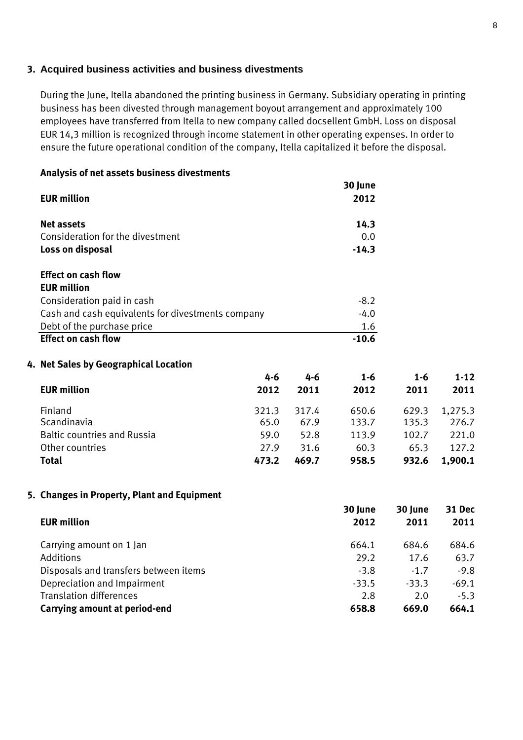## **3. Acquired business activities and business divestments**

During the June, Itella abandoned the printing business in Germany. Subsidiary operating in printing business has been divested through management boyout arrangement and approximately 100 employees have transferred from Itella to new company called docsellent GmbH. Loss on disposal EUR 14,3 million is recognized through income statement in other operating expenses. In order to ensure the future operational condition of the company, Itella capitalized it before the disposal.

| Analysis of net assets business divestments |         |                                                   |         |         |          |
|---------------------------------------------|---------|---------------------------------------------------|---------|---------|----------|
|                                             |         |                                                   | 30 June |         |          |
| <b>EUR million</b>                          |         |                                                   | 2012    |         |          |
| <b>Net assets</b>                           |         |                                                   | 14.3    |         |          |
| Consideration for the divestment            |         |                                                   | 0.0     |         |          |
| Loss on disposal                            |         |                                                   | $-14.3$ |         |          |
| <b>Effect on cash flow</b>                  |         |                                                   |         |         |          |
| <b>EUR million</b>                          |         |                                                   |         |         |          |
| Consideration paid in cash                  |         |                                                   | $-8.2$  |         |          |
|                                             |         |                                                   | $-4.0$  |         |          |
| Debt of the purchase price                  |         |                                                   | 1.6     |         |          |
| <b>Effect on cash flow</b>                  |         |                                                   | $-10.6$ |         |          |
| 4. Net Sales by Geographical Location       |         |                                                   |         |         |          |
|                                             | $4 - 6$ | $4 - 6$                                           | $1 - 6$ | $1 - 6$ | $1 - 12$ |
| <b>EUR million</b>                          | 2012    | 2011                                              | 2012    | 2011    | 2011     |
| Finland                                     | 321.3   | 317.4                                             | 650.6   | 629.3   | 1,275.3  |
| Scandinavia                                 | 65.0    | 67.9                                              | 133.7   | 135.3   | 276.7    |
| <b>Baltic countries and Russia</b>          | 59.0    | 52.8                                              | 113.9   | 102.7   | 221.0    |
| Other countries                             | 27.9    | 31.6                                              | 60.3    | 65.3    | 127.2    |
| <b>Total</b>                                | 473.2   | 469.7                                             | 958.5   | 932.6   | 1,900.1  |
|                                             |         | Cash and cash equivalents for divestments company |         |         |          |

# **5. Changes in Property, Plant and Equipment**

| <b>EUR million</b>                    | 30 June<br>2012 | 30 June<br>2011 | 31 Dec<br>2011 |
|---------------------------------------|-----------------|-----------------|----------------|
| Carrying amount on 1 Jan              | 664.1           | 684.6           | 684.6          |
| Additions                             | 29.2            | 17.6            | 63.7           |
| Disposals and transfers between items | $-3.8$          | $-1.7$          | $-9.8$         |
| Depreciation and Impairment           | $-33.5$         | $-33.3$         | $-69.1$        |
| <b>Translation differences</b>        | 2.8             | 2.0             | $-5.3$         |
| Carrying amount at period-end         | 658.8           | 669.0           | 664.1          |